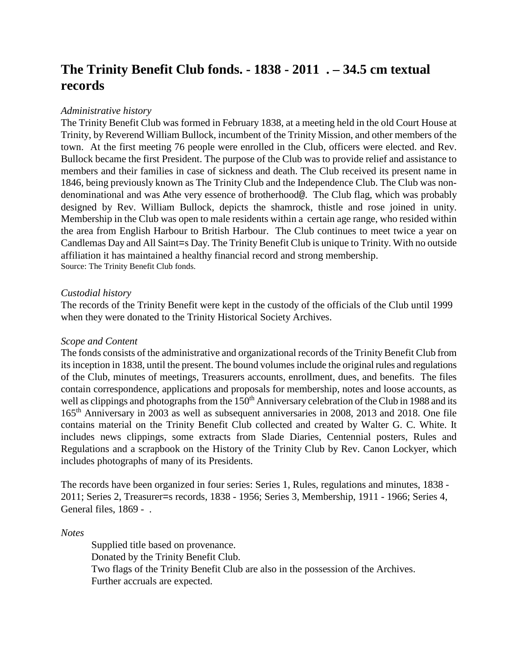# **The Trinity Benefit Club fonds. - 1838 - 2011 . – 34.5 cm textual records**

## *Administrative history*

The Trinity Benefit Club was formed in February 1838, at a meeting held in the old Court House at Trinity, by Reverend William Bullock, incumbent of the Trinity Mission, and other members of the town. At the first meeting 76 people were enrolled in the Club, officers were elected. and Rev. Bullock became the first President. The purpose of the Club was to provide relief and assistance to members and their families in case of sickness and death. The Club received its present name in 1846, being previously known as The Trinity Club and the Independence Club. The Club was nondenominational and was Athe very essence of brotherhood@. The Club flag, which was probably designed by Rev. William Bullock, depicts the shamrock, thistle and rose joined in unity. Membership in the Club was open to male residents within a certain age range, who resided within the area from English Harbour to British Harbour. The Club continues to meet twice a year on Candlemas Day and All Saint=s Day. The Trinity Benefit Club is unique to Trinity. With no outside affiliation it has maintained a healthy financial record and strong membership. Source: The Trinity Benefit Club fonds.

#### *Custodial history*

The records of the Trinity Benefit were kept in the custody of the officials of the Club until 1999 when they were donated to the Trinity Historical Society Archives.

## *Scope and Content*

The fonds consists of the administrative and organizational records of the Trinity Benefit Club from its inception in 1838, until the present. The bound volumes include the original rules and regulations of the Club, minutes of meetings, Treasurers accounts, enrollment, dues, and benefits. The files contain correspondence, applications and proposals for membership, notes and loose accounts, as well as clippings and photographs from the 150<sup>th</sup> Anniversary celebration of the Club in 1988 and its 165th Anniversary in 2003 as well as subsequent anniversaries in 2008, 2013 and 2018. One file contains material on the Trinity Benefit Club collected and created by Walter G. C. White. It includes news clippings, some extracts from Slade Diaries, Centennial posters, Rules and Regulations and a scrapbook on the History of the Trinity Club by Rev. Canon Lockyer, which includes photographs of many of its Presidents.

The records have been organized in four series: Series 1, Rules, regulations and minutes, 1838 - 2011; Series 2, Treasurer=s records, 1838 - 1956; Series 3, Membership, 1911 - 1966; Series 4, General files, 1869 - .

*Notes*

Supplied title based on provenance. Donated by the Trinity Benefit Club. Two flags of the Trinity Benefit Club are also in the possession of the Archives. Further accruals are expected.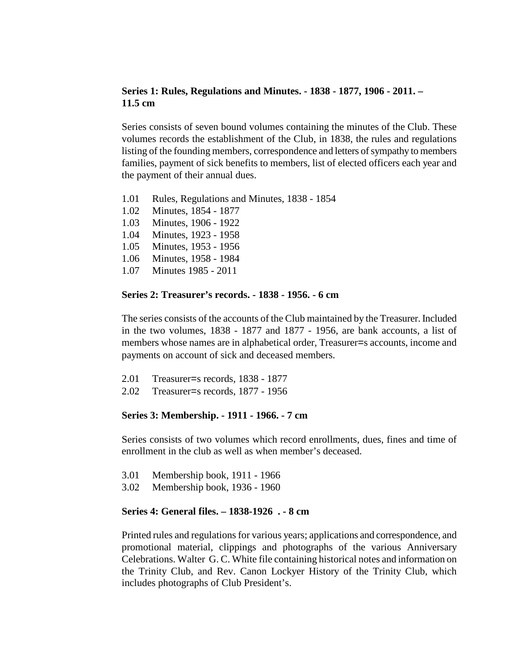## **Series 1: Rules, Regulations and Minutes. - 1838 - 1877, 1906 - 2011. – 11.5 cm**

Series consists of seven bound volumes containing the minutes of the Club. These volumes records the establishment of the Club, in 1838, the rules and regulations listing of the founding members, correspondence and letters of sympathy to members families, payment of sick benefits to members, list of elected officers each year and the payment of their annual dues.

- 1.01 Rules, Regulations and Minutes, 1838 1854
- 1.02 Minutes, 1854 1877
- 1.03 Minutes, 1906 1922
- 1.04 Minutes, 1923 1958
- 1.05 Minutes, 1953 1956
- 1.06 Minutes, 1958 1984
- 1.07 Minutes 1985 2011

#### **Series 2: Treasurer's records. - 1838 - 1956. - 6 cm**

The series consists of the accounts of the Club maintained by the Treasurer. Included in the two volumes, 1838 - 1877 and 1877 - 1956, are bank accounts, a list of members whose names are in alphabetical order, Treasurer=s accounts, income and payments on account of sick and deceased members.

- 2.01 Treasurer=s records, 1838 1877
- 2.02 Treasurer=s records, 1877 1956

#### **Series 3: Membership. - 1911 - 1966. - 7 cm**

Series consists of two volumes which record enrollments, dues, fines and time of enrollment in the club as well as when member's deceased.

- 3.01 Membership book, 1911 1966
- 3.02 Membership book, 1936 1960

#### **Series 4: General files. – 1838-1926 . - 8 cm**

Printed rules and regulations for various years; applications and correspondence, and promotional material, clippings and photographs of the various Anniversary Celebrations. Walter G. C. White file containing historical notes and information on the Trinity Club, and Rev. Canon Lockyer History of the Trinity Club, which includes photographs of Club President's.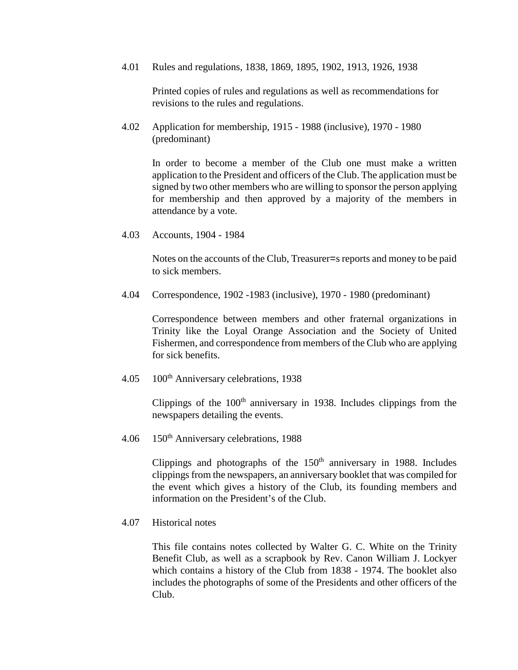4.01 Rules and regulations, 1838, 1869, 1895, 1902, 1913, 1926, 1938

Printed copies of rules and regulations as well as recommendations for revisions to the rules and regulations.

4.02 Application for membership, 1915 - 1988 (inclusive), 1970 - 1980 (predominant)

> In order to become a member of the Club one must make a written application to the President and officers of the Club. The application must be signed by two other members who are willing to sponsor the person applying for membership and then approved by a majority of the members in attendance by a vote.

4.03 Accounts, 1904 - 1984

Notes on the accounts of the Club, Treasurer=s reports and money to be paid to sick members.

4.04 Correspondence, 1902 -1983 (inclusive), 1970 - 1980 (predominant)

Correspondence between members and other fraternal organizations in Trinity like the Loyal Orange Association and the Society of United Fishermen, and correspondence from members of the Club who are applying for sick benefits.

4.05 100<sup>th</sup> Anniversary celebrations, 1938

Clippings of the  $100<sup>th</sup>$  anniversary in 1938. Includes clippings from the newspapers detailing the events.

4.06 150<sup>th</sup> Anniversary celebrations, 1988

Clippings and photographs of the  $150<sup>th</sup>$  anniversary in 1988. Includes clippings from the newspapers, an anniversary booklet that was compiled for the event which gives a history of the Club, its founding members and information on the President's of the Club.

4.07 Historical notes

This file contains notes collected by Walter G. C. White on the Trinity Benefit Club, as well as a scrapbook by Rev. Canon William J. Lockyer which contains a history of the Club from 1838 - 1974. The booklet also includes the photographs of some of the Presidents and other officers of the Club.